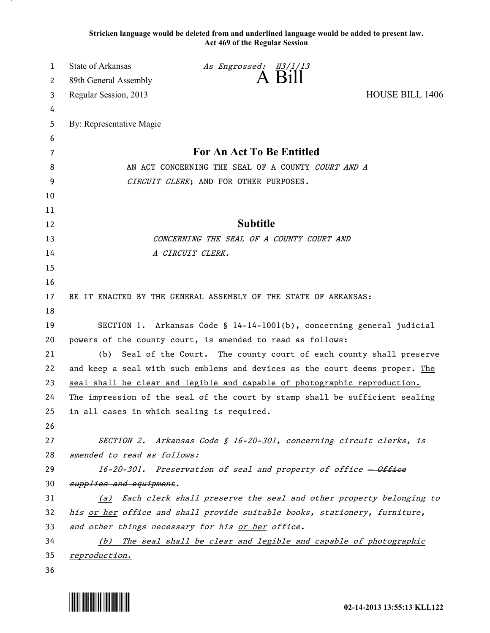**Stricken language would be deleted from and underlined language would be added to present law. Act 469 of the Regular Session**

| 1  | <b>State of Arkansas</b>                                                   | As Engrossed: H3/1/13                                                        |                        |
|----|----------------------------------------------------------------------------|------------------------------------------------------------------------------|------------------------|
| 2  | 89th General Assembly                                                      | A Bill                                                                       |                        |
| 3  | Regular Session, 2013                                                      |                                                                              | <b>HOUSE BILL 1406</b> |
| 4  |                                                                            |                                                                              |                        |
| 5  | By: Representative Magie                                                   |                                                                              |                        |
| 6  |                                                                            |                                                                              |                        |
| 7  | For An Act To Be Entitled                                                  |                                                                              |                        |
| 8  | AN ACT CONCERNING THE SEAL OF A COUNTY COURT AND A                         |                                                                              |                        |
| 9  |                                                                            | CIRCUIT CLERK; AND FOR OTHER PURPOSES.                                       |                        |
| 10 |                                                                            |                                                                              |                        |
| 11 |                                                                            |                                                                              |                        |
| 12 |                                                                            | <b>Subtitle</b>                                                              |                        |
| 13 |                                                                            | CONCERNING THE SEAL OF A COUNTY COURT AND                                    |                        |
| 14 |                                                                            | A CIRCUIT CLERK.                                                             |                        |
| 15 |                                                                            |                                                                              |                        |
| 16 |                                                                            |                                                                              |                        |
| 17 |                                                                            | BE IT ENACTED BY THE GENERAL ASSEMBLY OF THE STATE OF ARKANSAS:              |                        |
| 18 |                                                                            |                                                                              |                        |
| 19 |                                                                            | SECTION 1. Arkansas Code § 14-14-1001(b), concerning general judicial        |                        |
| 20 | powers of the county court, is amended to read as follows:                 |                                                                              |                        |
| 21 | (b)                                                                        | Seal of the Court. The county court of each county shall preserve            |                        |
| 22 |                                                                            | and keep a seal with such emblems and devices as the court deems proper. The |                        |
| 23 | seal shall be clear and legible and capable of photographic reproduction.  |                                                                              |                        |
| 24 |                                                                            | The impression of the seal of the court by stamp shall be sufficient sealing |                        |
| 25 | in all cases in which sealing is required.                                 |                                                                              |                        |
| 26 |                                                                            |                                                                              |                        |
| 27 |                                                                            | SECTION 2. Arkansas Code § 16-20-301, concerning circuit clerks, is          |                        |
| 28 | amended to read as follows:                                                |                                                                              |                        |
| 29 |                                                                            | 16-20-301. Preservation of seal and property of office - Office              |                        |
| 30 | supplies and equipment.                                                    |                                                                              |                        |
| 31 | (a)                                                                        | Each clerk shall preserve the seal and other property belonging to           |                        |
| 32 | his or her office and shall provide suitable books, stationery, furniture, |                                                                              |                        |
| 33 | and other things necessary for his or her office.                          |                                                                              |                        |
| 34 | (b) The seal shall be clear and legible and capable of photographic        |                                                                              |                        |
| 35 | reproduction.                                                              |                                                                              |                        |
| 36 |                                                                            |                                                                              |                        |

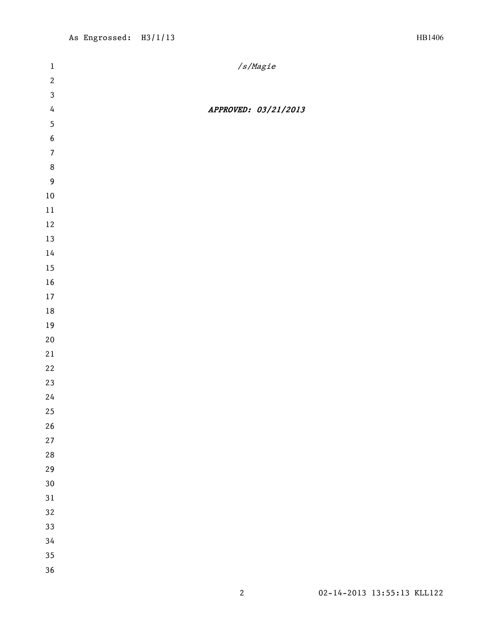| $\mathbf{1}$     | /s/Magie             |
|------------------|----------------------|
| $\mathbf{2}$     |                      |
| $\mathbf{3}$     |                      |
| $\overline{4}$   | APPROVED: 03/21/2013 |
| $\overline{5}$   |                      |
| $\boldsymbol{6}$ |                      |
| $\overline{7}$   |                      |
| $\,8\,$          |                      |
| $\overline{9}$   |                      |
| $10\,$           |                      |
| $11\,$           |                      |
| $12\,$           |                      |
| $13\,$           |                      |
| $14\,$           |                      |
| 15               |                      |
| $16\,$           |                      |
| $17\,$           |                      |
| $18\,$           |                      |
| $19\,$           |                      |
| $20\,$           |                      |
| 21               |                      |
| 22               |                      |
| 23               |                      |
| 24               |                      |
| 25               |                      |
| $26\,$           |                      |
| 27               |                      |
| 28               |                      |
| 29               |                      |
| 30               |                      |
| 31               |                      |
| 32               |                      |
| 33               |                      |
| 34               |                      |
| 35               |                      |
| 36               |                      |